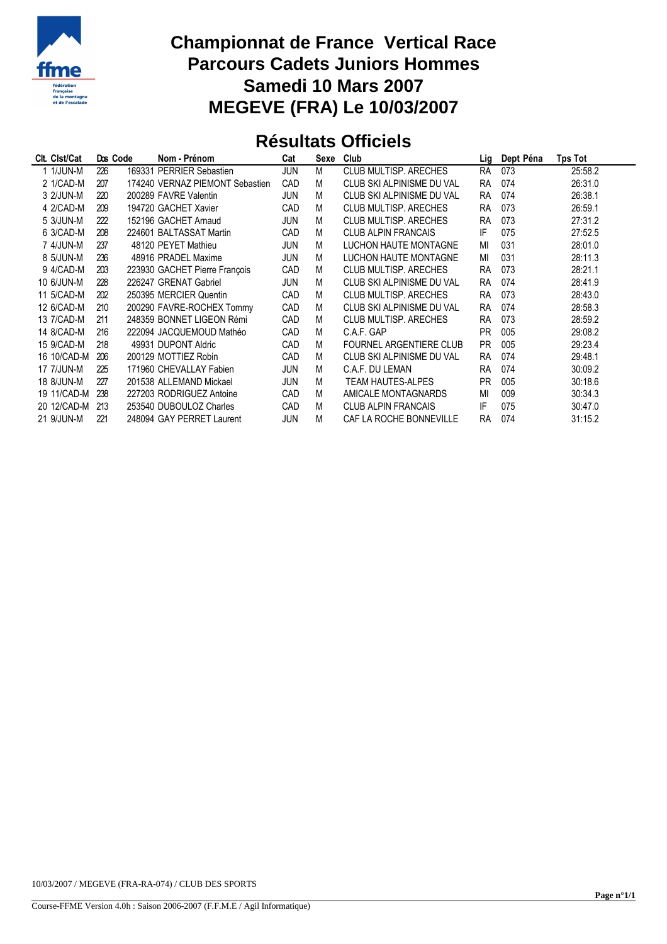

## **Championnat de France Vertical Race Parcours Cadets Juniors Hommes Samedi 10 Mars 2007 MEGEVE (FRA) Le 10/03/2007**

## **Résultats Officiels**

| Clt. Clst/Cat     | Dos Code | Nom - Prénom                    | Cat        | Sexe | Club                       | Lig       | Dept Péna | Tps Tot |
|-------------------|----------|---------------------------------|------------|------|----------------------------|-----------|-----------|---------|
| 1 1/JUN-M         | 226      | 169331 PERRIER Sebastien        | <b>JUN</b> | М    | CLUB MULTISP, ARECHES      | <b>RA</b> | 073       | 25:58.2 |
| 2 1/CAD-M         | 207      | 174240 VERNAZ PIEMONT Sebastien | CAD        | M    | CLUB SKI ALPINISME DU VAL  | <b>RA</b> | 074       | 26:31.0 |
| 3 2/JUN-M         | 220      | 200289 FAVRE Valentin           | <b>JUN</b> | M    | CLUB SKI ALPINISME DU VAL  | <b>RA</b> | 074       | 26:38.1 |
| 4 2/CAD-M         | 209      | 194720 GACHET Xavier            | <b>CAD</b> | M    | CLUB MULTISP, ARECHES      | <b>RA</b> | 073       | 26:59.1 |
| 5 3/JUN-M         | 222      | 152196 GACHET Arnaud            | <b>JUN</b> | M    | CLUB MULTISP, ARECHES      | <b>RA</b> | 073       | 27:31.2 |
| 6 3/CAD-M         | 208      | 224601 BALTASSAT Martin         | <b>CAD</b> | M    | <b>CLUB ALPIN FRANCAIS</b> | IF        | 075       | 27:52.5 |
| 7 4/JUN-M         | 237      | 48120 PEYET Mathieu             | <b>JUN</b> | M    | LUCHON HAUTE MONTAGNE      | MI        | 031       | 28:01.0 |
| 8 5/JUN-M         | 236      | 48916 PRADEL Maxime             | <b>JUN</b> | M    | LUCHON HAUTE MONTAGNE      | MI        | 031       | 28:11.3 |
| 9 4/CAD-M         | 203      | 223930 GACHET Pierre François   | <b>CAD</b> | M    | CLUB MULTISP, ARECHES      | <b>RA</b> | 073       | 28:21.1 |
| 10 6/JUN-M        | 228      | 226247 GRENAT Gabriel           | <b>JUN</b> | M    | CLUB SKI ALPINISME DU VAL  | <b>RA</b> | 074       | 28:41.9 |
| 11 5/CAD-M        | 202      | 250395 MERCIER Quentin          | CAD        | M    | CLUB MULTISP, ARECHES      | <b>RA</b> | 073       | 28:43.0 |
| 12 6/CAD-M        | 210      | 200290 FAVRE-ROCHEX Tommy       | <b>CAD</b> | M    | CLUB SKI ALPINISME DU VAL  | <b>RA</b> | 074       | 28:58.3 |
| 13 7/CAD-M        | 211      | 248359 BONNET LIGEON Rémi       | CAD        | M    | CLUB MULTISP, ARECHES      | <b>RA</b> | 073       | 28:59.2 |
| 14 8/CAD-M        | 216      | 222094 JACQUEMOUD Mathéo        | <b>CAD</b> | M    | C.A.F. GAP                 | <b>PR</b> | 005       | 29:08.2 |
| 15 9/CAD-M        | 218      | 49931 DUPONT Aldric             | CAD        | M    | FOURNEL ARGENTIERE CLUB    | <b>PR</b> | 005       | 29:23.4 |
| 16 10/CAD-M       | 206      | 200129 MOTTIEZ Robin            | CAD        | M    | CLUB SKI ALPINISME DU VAL  | <b>RA</b> | 074       | 29:48.1 |
| <b>17 7/JUN-M</b> | 225      | 171960 CHEVALLAY Fabien         | <b>JUN</b> | M    | C.A.F. DU LEMAN            | <b>RA</b> | 074       | 30:09.2 |
| 18 8/JUN-M        | 227      | 201538 ALLEMAND Mickael         | <b>JUN</b> | М    | <b>TEAM HAUTES-ALPES</b>   | <b>PR</b> | 005       | 30:18.6 |
| 19 11/CAD-M       | 238      | 227203 RODRIGUEZ Antoine        | CAD        | M    | AMICALE MONTAGNARDS        | MI        | 009       | 30:34.3 |
| 20 12/CAD-M       | 213      | 253540 DUBOULOZ Charles         | <b>CAD</b> | M    | <b>CLUB ALPIN FRANCAIS</b> | IF        | 075       | 30:47.0 |
| 21 9/JUN-M        | 221      | 248094 GAY PERRET Laurent       | <b>JUN</b> | М    | CAF LA ROCHE BONNEVILLE    | <b>RA</b> | 074       | 31:15.2 |